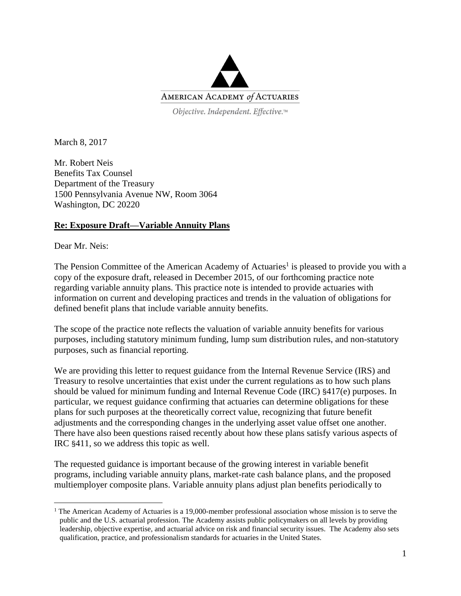

Objective. Independent. Effective.™

March 8, 2017

Mr. Robert Neis Benefits Tax Counsel Department of the Treasury 1500 Pennsylvania Avenue NW, Room 3064 Washington, DC 20220

#### **Re: Exposure Draft—Variable Annuity Plans**

Dear Mr. Neis:

 $\overline{a}$ 

The Pension Committee of the American Academy of Actuaries<sup>1</sup> is pleased to provide you with a copy of the exposure draft, released in December 2015, of our forthcoming practice note regarding variable annuity plans. This practice note is intended to provide actuaries with information on current and developing practices and trends in the valuation of obligations for defined benefit plans that include variable annuity benefits.

The scope of the practice note reflects the valuation of variable annuity benefits for various purposes, including statutory minimum funding, lump sum distribution rules, and non-statutory purposes, such as financial reporting.

We are providing this letter to request guidance from the Internal Revenue Service (IRS) and Treasury to resolve uncertainties that exist under the current regulations as to how such plans should be valued for minimum funding and Internal Revenue Code (IRC) §417(e) purposes. In particular, we request guidance confirming that actuaries can determine obligations for these plans for such purposes at the theoretically correct value, recognizing that future benefit adjustments and the corresponding changes in the underlying asset value offset one another. There have also been questions raised recently about how these plans satisfy various aspects of IRC §411, so we address this topic as well.

The requested guidance is important because of the growing interest in variable benefit programs, including variable annuity plans, market-rate cash balance plans, and the proposed multiemployer composite plans. Variable annuity plans adjust plan benefits periodically to

<sup>&</sup>lt;sup>1</sup> The American Academy of Actuaries is a 19,000-member professional association whose mission is to serve the public and the U.S. actuarial profession. The Academy assists public policymakers on all levels by providing leadership, objective expertise, and actuarial advice on risk and financial security issues. The Academy also sets qualification, practice, and professionalism standards for actuaries in the United States.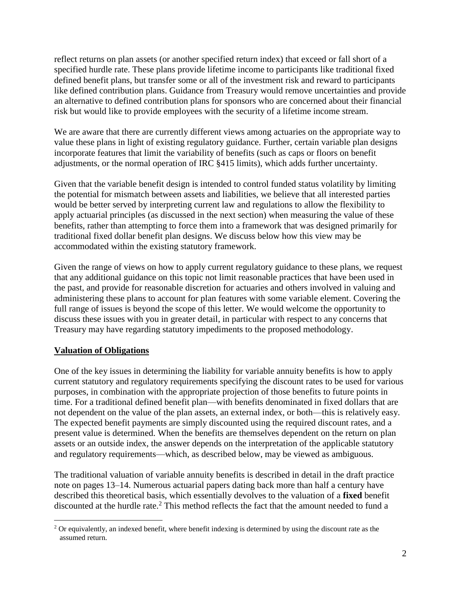reflect returns on plan assets (or another specified return index) that exceed or fall short of a specified hurdle rate. These plans provide lifetime income to participants like traditional fixed defined benefit plans, but transfer some or all of the investment risk and reward to participants like defined contribution plans. Guidance from Treasury would remove uncertainties and provide an alternative to defined contribution plans for sponsors who are concerned about their financial risk but would like to provide employees with the security of a lifetime income stream.

We are aware that there are currently different views among actuaries on the appropriate way to value these plans in light of existing regulatory guidance. Further, certain variable plan designs incorporate features that limit the variability of benefits (such as caps or floors on benefit adjustments, or the normal operation of IRC §415 limits), which adds further uncertainty.

Given that the variable benefit design is intended to control funded status volatility by limiting the potential for mismatch between assets and liabilities, we believe that all interested parties would be better served by interpreting current law and regulations to allow the flexibility to apply actuarial principles (as discussed in the next section) when measuring the value of these benefits, rather than attempting to force them into a framework that was designed primarily for traditional fixed dollar benefit plan designs. We discuss below how this view may be accommodated within the existing statutory framework.

Given the range of views on how to apply current regulatory guidance to these plans, we request that any additional guidance on this topic not limit reasonable practices that have been used in the past, and provide for reasonable discretion for actuaries and others involved in valuing and administering these plans to account for plan features with some variable element. Covering the full range of issues is beyond the scope of this letter. We would welcome the opportunity to discuss these issues with you in greater detail, in particular with respect to any concerns that Treasury may have regarding statutory impediments to the proposed methodology.

# **Valuation of Obligations**

 $\overline{a}$ 

One of the key issues in determining the liability for variable annuity benefits is how to apply current statutory and regulatory requirements specifying the discount rates to be used for various purposes, in combination with the appropriate projection of those benefits to future points in time. For a traditional defined benefit plan—with benefits denominated in fixed dollars that are not dependent on the value of the plan assets, an external index, or both—this is relatively easy. The expected benefit payments are simply discounted using the required discount rates, and a present value is determined. When the benefits are themselves dependent on the return on plan assets or an outside index, the answer depends on the interpretation of the applicable statutory and regulatory requirements—which, as described below, may be viewed as ambiguous.

The traditional valuation of variable annuity benefits is described in detail in the draft practice note on pages 13–14. Numerous actuarial papers dating back more than half a century have described this theoretical basis, which essentially devolves to the valuation of a **fixed** benefit discounted at the hurdle rate. <sup>2</sup> This method reflects the fact that the amount needed to fund a

 $2$  Or equivalently, an indexed benefit, where benefit indexing is determined by using the discount rate as the assumed return.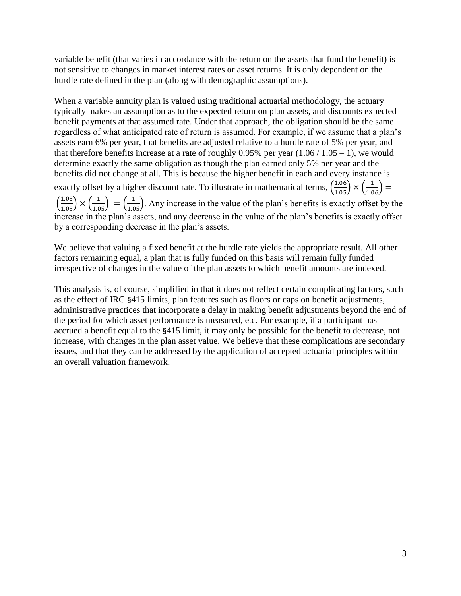variable benefit (that varies in accordance with the return on the assets that fund the benefit) is not sensitive to changes in market interest rates or asset returns. It is only dependent on the hurdle rate defined in the plan (along with demographic assumptions).

When a variable annuity plan is valued using traditional actuarial methodology, the actuary typically makes an assumption as to the expected return on plan assets, and discounts expected benefit payments at that assumed rate. Under that approach, the obligation should be the same regardless of what anticipated rate of return is assumed. For example, if we assume that a plan's assets earn 6% per year, that benefits are adjusted relative to a hurdle rate of 5% per year, and that therefore benefits increase at a rate of roughly 0.95% per year  $(1.06 / 1.05 - 1)$ , we would determine exactly the same obligation as though the plan earned only 5% per year and the benefits did not change at all. This is because the higher benefit in each and every instance is exactly offset by a higher discount rate. To illustrate in mathematical terms,  $\left(\frac{1.06}{1.05}\right) \times \left(\frac{1}{1.06}\right)$  $\left(\frac{1.05}{1.05}\right) \times \left(\frac{1}{1.05}\right) = \left(\frac{1}{1.05}\right)$ . Any increase in the value of the plan's benefits is exactly offset by the increase in the plan's assets, and any decrease in the value of the plan's benefits is exactly offset by a corresponding decrease in the plan's assets.

We believe that valuing a fixed benefit at the hurdle rate yields the appropriate result. All other factors remaining equal, a plan that is fully funded on this basis will remain fully funded irrespective of changes in the value of the plan assets to which benefit amounts are indexed.

This analysis is, of course, simplified in that it does not reflect certain complicating factors, such as the effect of IRC §415 limits, plan features such as floors or caps on benefit adjustments, administrative practices that incorporate a delay in making benefit adjustments beyond the end of the period for which asset performance is measured, etc. For example, if a participant has accrued a benefit equal to the §415 limit, it may only be possible for the benefit to decrease, not increase, with changes in the plan asset value. We believe that these complications are secondary issues, and that they can be addressed by the application of accepted actuarial principles within an overall valuation framework.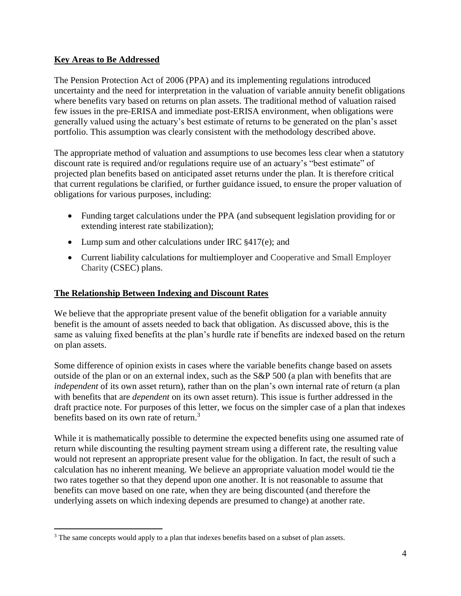### **Key Areas to Be Addressed**

 $\overline{a}$ 

The Pension Protection Act of 2006 (PPA) and its implementing regulations introduced uncertainty and the need for interpretation in the valuation of variable annuity benefit obligations where benefits vary based on returns on plan assets. The traditional method of valuation raised few issues in the pre-ERISA and immediate post-ERISA environment, when obligations were generally valued using the actuary's best estimate of returns to be generated on the plan's asset portfolio. This assumption was clearly consistent with the methodology described above.

The appropriate method of valuation and assumptions to use becomes less clear when a statutory discount rate is required and/or regulations require use of an actuary's "best estimate" of projected plan benefits based on anticipated asset returns under the plan. It is therefore critical that current regulations be clarified, or further guidance issued, to ensure the proper valuation of obligations for various purposes, including:

- Funding target calculations under the PPA (and subsequent legislation providing for or extending interest rate stabilization);
- Lump sum and other calculations under IRC  $§417(e)$ ; and
- Current liability calculations for multiemployer and Cooperative and Small Employer Charity (CSEC) plans.

#### **The Relationship Between Indexing and Discount Rates**

We believe that the appropriate present value of the benefit obligation for a variable annuity benefit is the amount of assets needed to back that obligation. As discussed above, this is the same as valuing fixed benefits at the plan's hurdle rate if benefits are indexed based on the return on plan assets.

Some difference of opinion exists in cases where the variable benefits change based on assets outside of the plan or on an external index, such as the S&P 500 (a plan with benefits that are *independent* of its own asset return), rather than on the plan's own internal rate of return (a plan with benefits that are *dependent* on its own asset return). This issue is further addressed in the draft practice note. For purposes of this letter, we focus on the simpler case of a plan that indexes benefits based on its own rate of return.<sup>3</sup>

While it is mathematically possible to determine the expected benefits using one assumed rate of return while discounting the resulting payment stream using a different rate, the resulting value would not represent an appropriate present value for the obligation. In fact, the result of such a calculation has no inherent meaning. We believe an appropriate valuation model would tie the two rates together so that they depend upon one another. It is not reasonable to assume that benefits can move based on one rate, when they are being discounted (and therefore the underlying assets on which indexing depends are presumed to change) at another rate.

<sup>&</sup>lt;sup>3</sup> The same concepts would apply to a plan that indexes benefits based on a subset of plan assets.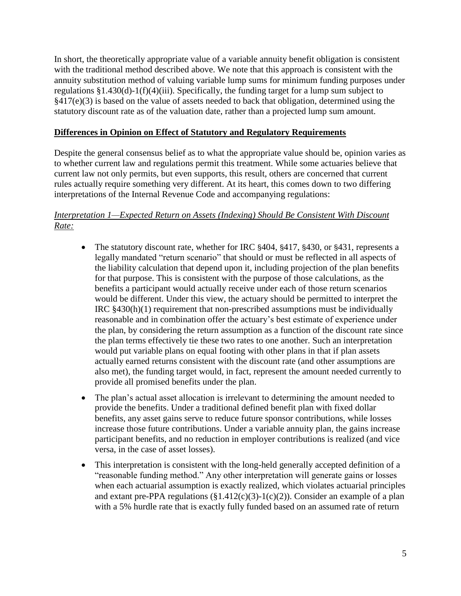In short, the theoretically appropriate value of a variable annuity benefit obligation is consistent with the traditional method described above. We note that this approach is consistent with the annuity substitution method of valuing variable lump sums for minimum funding purposes under regulations §1.430(d)-1(f)(4)(iii). Specifically, the funding target for a lump sum subject to §417(e)(3) is based on the value of assets needed to back that obligation, determined using the statutory discount rate as of the valuation date, rather than a projected lump sum amount.

#### **Differences in Opinion on Effect of Statutory and Regulatory Requirements**

Despite the general consensus belief as to what the appropriate value should be, opinion varies as to whether current law and regulations permit this treatment. While some actuaries believe that current law not only permits, but even supports, this result, others are concerned that current rules actually require something very different. At its heart, this comes down to two differing interpretations of the Internal Revenue Code and accompanying regulations:

### *Interpretation 1—Expected Return on Assets (Indexing) Should Be Consistent With Discount Rate:*

- The statutory discount rate, whether for IRC §404, §417, §430, or §431, represents a legally mandated "return scenario" that should or must be reflected in all aspects of the liability calculation that depend upon it, including projection of the plan benefits for that purpose. This is consistent with the purpose of those calculations, as the benefits a participant would actually receive under each of those return scenarios would be different. Under this view, the actuary should be permitted to interpret the IRC §430(h)(1) requirement that non-prescribed assumptions must be individually reasonable and in combination offer the actuary's best estimate of experience under the plan, by considering the return assumption as a function of the discount rate since the plan terms effectively tie these two rates to one another. Such an interpretation would put variable plans on equal footing with other plans in that if plan assets actually earned returns consistent with the discount rate (and other assumptions are also met), the funding target would, in fact, represent the amount needed currently to provide all promised benefits under the plan.
- The plan's actual asset allocation is irrelevant to determining the amount needed to provide the benefits. Under a traditional defined benefit plan with fixed dollar benefits, any asset gains serve to reduce future sponsor contributions, while losses increase those future contributions. Under a variable annuity plan, the gains increase participant benefits, and no reduction in employer contributions is realized (and vice versa, in the case of asset losses).
- This interpretation is consistent with the long-held generally accepted definition of a "reasonable funding method." Any other interpretation will generate gains or losses when each actuarial assumption is exactly realized, which violates actuarial principles and extant pre-PPA regulations  $(\S1.412(c)(3)-1(c)(2))$ . Consider an example of a plan with a 5% hurdle rate that is exactly fully funded based on an assumed rate of return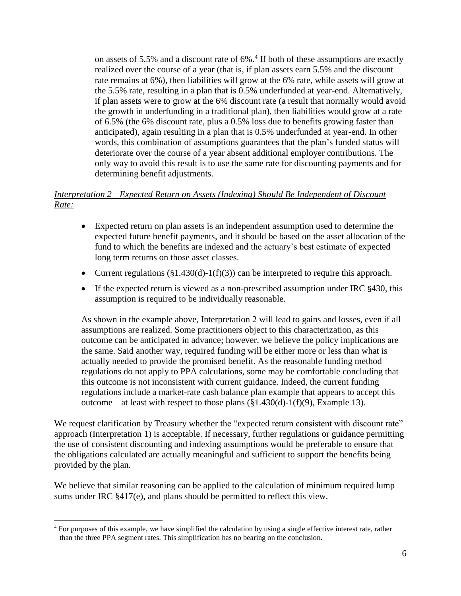on assets of 5.5% and a discount rate of 6%. 4 If both of these assumptions are exactly realized over the course of a year (that is, if plan assets earn 5.5% and the discount rate remains at 6%), then liabilities will grow at the 6% rate, while assets will grow at the 5.5% rate, resulting in a plan that is 0.5% underfunded at year-end. Alternatively, if plan assets were to grow at the 6% discount rate (a result that normally would avoid the growth in underfunding in a traditional plan), then liabilities would grow at a rate of 6.5% (the 6% discount rate, plus a 0.5% loss due to benefits growing faster than anticipated), again resulting in a plan that is 0.5% underfunded at year-end. In other words, this combination of assumptions guarantees that the plan's funded status will deteriorate over the course of a year absent additional employer contributions. The only way to avoid this result is to use the same rate for discounting payments and for determining benefit adjustments.

## *Interpretation 2—Expected Return on Assets (Indexing) Should Be Independent of Discount Rate:*

- Expected return on plan assets is an independent assumption used to determine the expected future benefit payments, and it should be based on the asset allocation of the fund to which the benefits are indexed and the actuary's best estimate of expected long term returns on those asset classes.
- Current regulations  $(\S1.430(d)-1(f)(3))$  can be interpreted to require this approach.
- If the expected return is viewed as a non-prescribed assumption under IRC §430, this assumption is required to be individually reasonable.

As shown in the example above, Interpretation 2 will lead to gains and losses, even if all assumptions are realized. Some practitioners object to this characterization, as this outcome can be anticipated in advance; however, we believe the policy implications are the same. Said another way, required funding will be either more or less than what is actually needed to provide the promised benefit. As the reasonable funding method regulations do not apply to PPA calculations, some may be comfortable concluding that this outcome is not inconsistent with current guidance. Indeed, the current funding regulations include a market-rate cash balance plan example that appears to accept this outcome—at least with respect to those plans  $(\S1.430(d)-1(f)(9))$ , Example 13).

We request clarification by Treasury whether the "expected return consistent with discount rate" approach (Interpretation 1) is acceptable. If necessary, further regulations or guidance permitting the use of consistent discounting and indexing assumptions would be preferable to ensure that the obligations calculated are actually meaningful and sufficient to support the benefits being provided by the plan.

We believe that similar reasoning can be applied to the calculation of minimum required lump sums under IRC §417(e), and plans should be permitted to reflect this view.

 $\overline{a}$ 

<sup>4</sup> For purposes of this example, we have simplified the calculation by using a single effective interest rate, rather than the three PPA segment rates. This simplification has no bearing on the conclusion.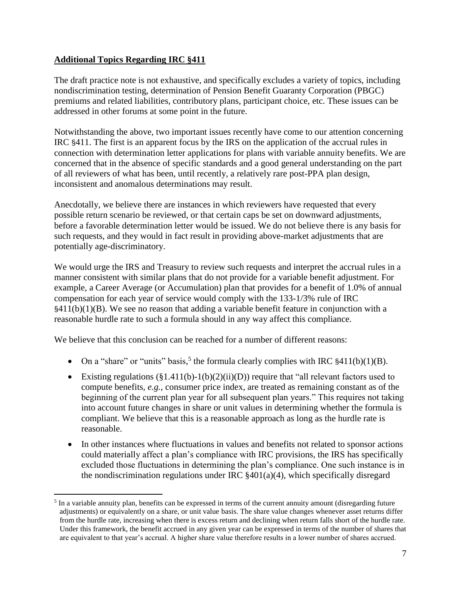## **Additional Topics Regarding IRC §411**

 $\overline{a}$ 

The draft practice note is not exhaustive, and specifically excludes a variety of topics, including nondiscrimination testing, determination of Pension Benefit Guaranty Corporation (PBGC) premiums and related liabilities, contributory plans, participant choice, etc. These issues can be addressed in other forums at some point in the future.

Notwithstanding the above, two important issues recently have come to our attention concerning IRC §411. The first is an apparent focus by the IRS on the application of the accrual rules in connection with determination letter applications for plans with variable annuity benefits. We are concerned that in the absence of specific standards and a good general understanding on the part of all reviewers of what has been, until recently, a relatively rare post-PPA plan design, inconsistent and anomalous determinations may result.

Anecdotally, we believe there are instances in which reviewers have requested that every possible return scenario be reviewed, or that certain caps be set on downward adjustments, before a favorable determination letter would be issued. We do not believe there is any basis for such requests, and they would in fact result in providing above-market adjustments that are potentially age-discriminatory.

We would urge the IRS and Treasury to review such requests and interpret the accrual rules in a manner consistent with similar plans that do not provide for a variable benefit adjustment. For example, a Career Average (or Accumulation) plan that provides for a benefit of 1.0% of annual compensation for each year of service would comply with the 133-1/3% rule of IRC  $§411(b)(1)(B)$ . We see no reason that adding a variable benefit feature in conjunction with a reasonable hurdle rate to such a formula should in any way affect this compliance.

We believe that this conclusion can be reached for a number of different reasons:

- On a "share" or "units" basis,<sup>5</sup> the formula clearly complies with IRC  $\frac{\xi}{4}11(b)(1)(B)$ .
- Existing regulations  $(\S1.411(b)-1(b)(2)(ii)(D))$  require that "all relevant factors used to compute benefits, *e.g.*, consumer price index, are treated as remaining constant as of the beginning of the current plan year for all subsequent plan years." This requires not taking into account future changes in share or unit values in determining whether the formula is compliant. We believe that this is a reasonable approach as long as the hurdle rate is reasonable.
- In other instances where fluctuations in values and benefits not related to sponsor actions could materially affect a plan's compliance with IRC provisions, the IRS has specifically excluded those fluctuations in determining the plan's compliance. One such instance is in the nondiscrimination regulations under IRC  $\S 401(a)(4)$ , which specifically disregard

<sup>&</sup>lt;sup>5</sup> In a variable annuity plan, benefits can be expressed in terms of the current annuity amount (disregarding future adjustments) or equivalently on a share, or unit value basis. The share value changes whenever asset returns differ from the hurdle rate, increasing when there is excess return and declining when return falls short of the hurdle rate. Under this framework, the benefit accrued in any given year can be expressed in terms of the number of shares that are equivalent to that year's accrual. A higher share value therefore results in a lower number of shares accrued.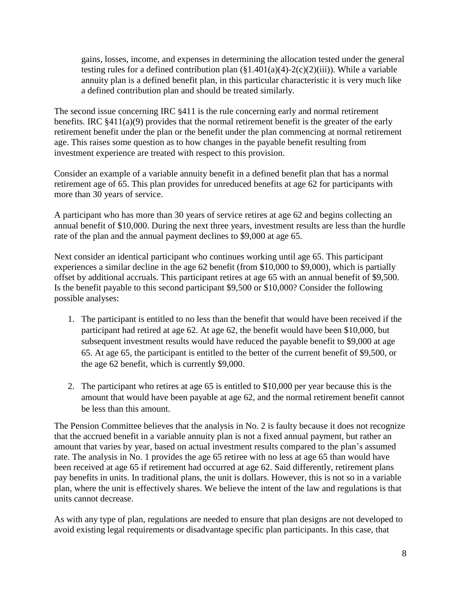gains, losses, income, and expenses in determining the allocation tested under the general testing rules for a defined contribution plan  $(\S1.401(a)(4)-2(c)(2)(iii))$ . While a variable annuity plan is a defined benefit plan, in this particular characteristic it is very much like a defined contribution plan and should be treated similarly.

The second issue concerning IRC §411 is the rule concerning early and normal retirement benefits. IRC §411(a)(9) provides that the normal retirement benefit is the greater of the early retirement benefit under the plan or the benefit under the plan commencing at normal retirement age. This raises some question as to how changes in the payable benefit resulting from investment experience are treated with respect to this provision.

Consider an example of a variable annuity benefit in a defined benefit plan that has a normal retirement age of 65. This plan provides for unreduced benefits at age 62 for participants with more than 30 years of service.

A participant who has more than 30 years of service retires at age 62 and begins collecting an annual benefit of \$10,000. During the next three years, investment results are less than the hurdle rate of the plan and the annual payment declines to \$9,000 at age 65.

Next consider an identical participant who continues working until age 65. This participant experiences a similar decline in the age 62 benefit (from \$10,000 to \$9,000), which is partially offset by additional accruals. This participant retires at age 65 with an annual benefit of \$9,500. Is the benefit payable to this second participant \$9,500 or \$10,000? Consider the following possible analyses:

- 1. The participant is entitled to no less than the benefit that would have been received if the participant had retired at age 62. At age 62, the benefit would have been \$10,000, but subsequent investment results would have reduced the payable benefit to \$9,000 at age 65. At age 65, the participant is entitled to the better of the current benefit of \$9,500, or the age 62 benefit, which is currently \$9,000.
- 2. The participant who retires at age 65 is entitled to \$10,000 per year because this is the amount that would have been payable at age 62, and the normal retirement benefit cannot be less than this amount.

The Pension Committee believes that the analysis in No. 2 is faulty because it does not recognize that the accrued benefit in a variable annuity plan is not a fixed annual payment, but rather an amount that varies by year, based on actual investment results compared to the plan's assumed rate. The analysis in No. 1 provides the age 65 retiree with no less at age 65 than would have been received at age 65 if retirement had occurred at age 62. Said differently, retirement plans pay benefits in units. In traditional plans, the unit is dollars. However, this is not so in a variable plan, where the unit is effectively shares. We believe the intent of the law and regulations is that units cannot decrease.

As with any type of plan, regulations are needed to ensure that plan designs are not developed to avoid existing legal requirements or disadvantage specific plan participants. In this case, that